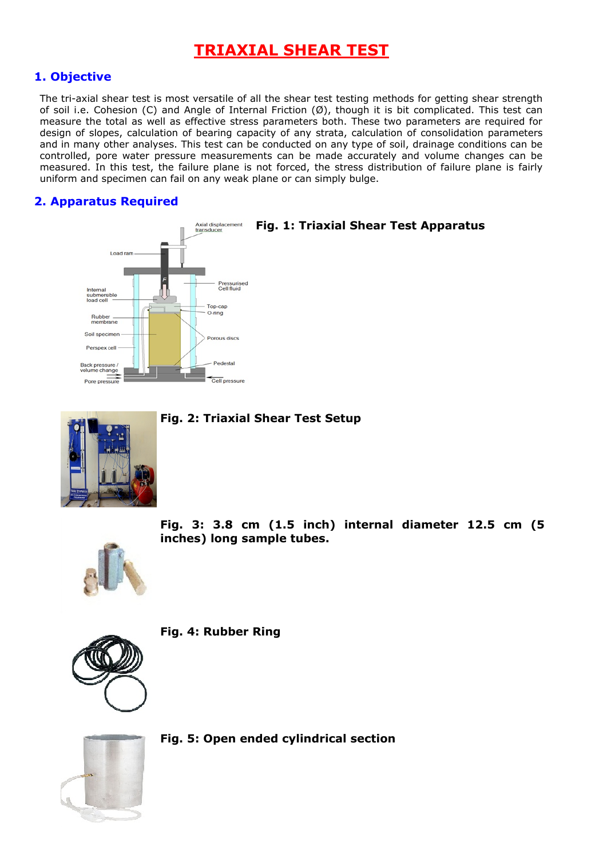# **TRIAXIAL SHEAR TEST**

## **1. Objective**

The tri-axial shear test is most versatile of all the shear test testing methods for getting shear strength of soil i.e. Cohesion (C) and Angle of Internal Friction (Ø), though it is bit complicated. This test can measure the total as well as effective stress parameters both. These two parameters are required for design of slopes, calculation of bearing capacity of any strata, calculation of consolidation parameters and in many other analyses. This test can be conducted on any type of soil, drainage conditions can be controlled, pore water pressure measurements can be made accurately and volume changes can be measured. In this test, the failure plane is not forced, the stress distribution of failure plane is fairly uniform and specimen can fail on any weak plane or can simply bulge.

## **2. Apparatus Required**



**Fig. 1: Triaxial Shear Test Apparatus**



### **Fig. 2: Triaxial Shear Test Setup**



**Fig. 3: 3.8 cm (1.5 inch) internal diameter 12.5 cm (5 inches) long sample tubes.**



**Fig. 4: Rubber Ring**



**Fig. 5: Open ended cylindrical section**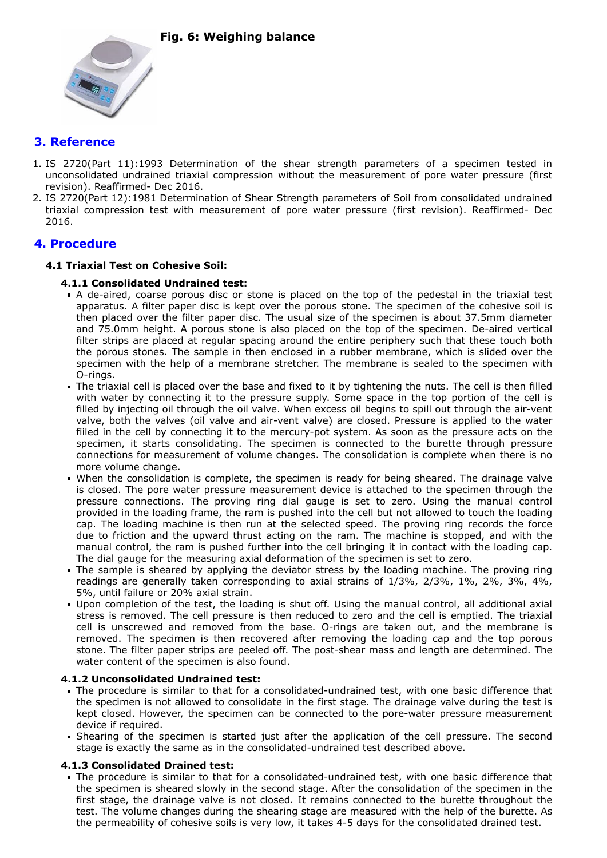

## **3. Reference**

- 1. IS 2720(Part 11):1993 Determination of the shear strength parameters of a specimen tested in unconsolidated undrained triaxial compression without the measurement of pore water pressure (first revision). Reaffirmed- Dec 2016.
- 2. IS 2720(Part 12):1981 Determination of Shear Strength parameters of Soil from consolidated undrained triaxial compression test with measurement of pore water pressure (first revision). Reaffirmed- Dec 2016.

## **4. Procedure**

#### **4.1 Triaxial Test on Cohesive Soil:**

- **4.1.1 Consolidated Undrained test:**
- A de-aired, coarse porous disc or stone is placed on the top of the pedestal in the triaxial test apparatus. A filter paper disc is kept over the porous stone. The specimen of the cohesive soil is then placed over the filter paper disc. The usual size of the specimen is about 37.5mm diameter and 75.0mm height. A porous stone is also placed on the top of the specimen. De-aired vertical filter strips are placed at regular spacing around the entire periphery such that these touch both the porous stones. The sample in then enclosed in a rubber membrane, which is slided over the specimen with the help of a membrane stretcher. The membrane is sealed to the specimen with O-rings.
- The triaxial cell is placed over the base and fixed to it by tightening the nuts. The cell is then filled with water by connecting it to the pressure supply. Some space in the top portion of the cell is filled by injecting oil through the oil valve. When excess oil begins to spill out through the air-vent valve, both the valves (oil valve and air-vent valve) are closed. Pressure is applied to the water fiiled in the cell by connecting it to the mercury-pot system. As soon as the pressure acts on the specimen, it starts consolidating. The specimen is connected to the burette through pressure connections for measurement of volume changes. The consolidation is complete when there is no more volume change.
- When the consolidation is complete, the specimen is ready for being sheared. The drainage valve is closed. The pore water pressure measurement device is attached to the specimen through the pressure connections. The proving ring dial gauge is set to zero. Using the manual control provided in the loading frame, the ram is pushed into the cell but not allowed to touch the loading cap. The loading machine is then run at the selected speed. The proving ring records the force due to friction and the upward thrust acting on the ram. The machine is stopped, and with the manual control, the ram is pushed further into the cell bringing it in contact with the loading cap. The dial gauge for the measuring axial deformation of the specimen is set to zero.
- The sample is sheared by applying the deviator stress by the loading machine. The proving ring readings are generally taken corresponding to axial strains of 1/3%, 2/3%, 1%, 2%, 3%, 4%, 5%, until failure or 20% axial strain.
- Upon completion of the test, the loading is shut off. Using the manual control, all additional axial stress is removed. The cell pressure is then reduced to zero and the cell is emptied. The triaxial cell is unscrewed and removed from the base. O-rings are taken out, and the membrane is removed. The specimen is then recovered after removing the loading cap and the top porous stone. The filter paper strips are peeled off. The post-shear mass and length are determined. The water content of the specimen is also found.

#### **4.1.2 Unconsolidated Undrained test:**

- The procedure is similar to that for a consolidated-undrained test, with one basic difference that the specimen is not allowed to consolidate in the first stage. The drainage valve during the test is kept closed. However, the specimen can be connected to the pore-water pressure measurement device if required.
- Shearing of the specimen is started just after the application of the cell pressure. The second stage is exactly the same as in the consolidated-undrained test described above.

#### **4.1.3 Consolidated Drained test:**

The procedure is similar to that for a consolidated-undrained test, with one basic difference that the specimen is sheared slowly in the second stage. After the consolidation of the specimen in the first stage, the drainage valve is not closed. It remains connected to the burette throughout the test. The volume changes during the shearing stage are measured with the help of the burette. As the permeability of cohesive soils is very low, it takes 4-5 days for the consolidated drained test.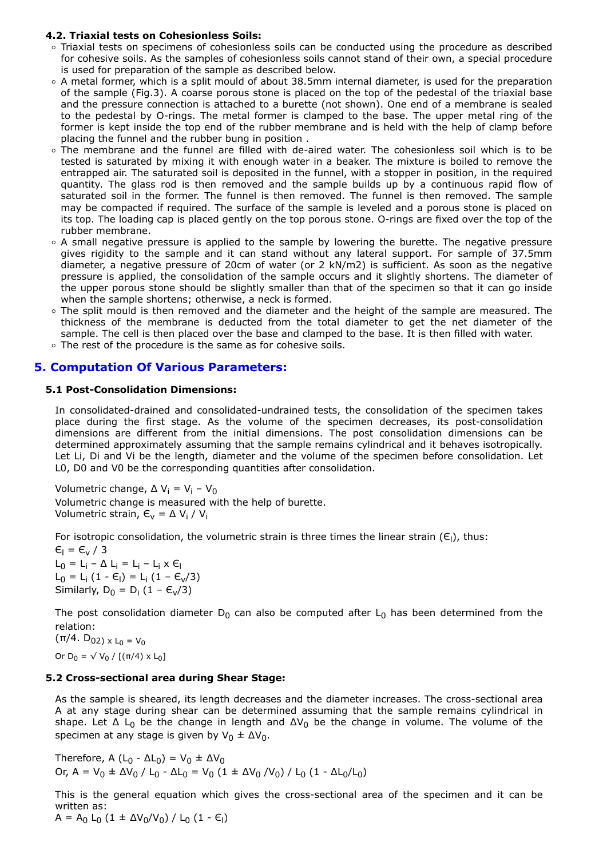#### **4.2. Triaxial tests on Cohesionless Soils:**

- Triaxial tests on specimens of cohesionless soils can be conducted using the procedure as described for cohesive soils. As the samples of cohesionless soils cannot stand of their own, a special procedure is used for preparation of the sample as described below.
- A metal former, which is a split mould of about 38.5mm internal diameter, is used for the preparation of the sample (Fig.3). A coarse porous stone is placed on the top of the pedestal of the triaxial base and the pressure connection is attached to a burette (not shown). One end of a membrane is sealed to the pedestal by O-rings. The metal former is clamped to the base. The upper metal ring of the former is kept inside the top end of the rubber membrane and is held with the help of clamp before placing the funnel and the rubber bung in position .
- The membrane and the funnel are filled with de-aired water. The cohesionless soil which is to be tested is saturated by mixing it with enough water in a beaker. The mixture is boiled to remove the entrapped air. The saturated soil is deposited in the funnel, with a stopper in position, in the required quantity. The glass rod is then removed and the sample builds up by a continuous rapid flow of saturated soil in the former. The funnel is then removed. The funnel is then removed. The sample may be compacted if required. The surface of the sample is leveled and a porous stone is placed on its top. The loading cap is placed gently on the top porous stone. O-rings are fixed over the top of the rubber membrane.
- $\circ$  A small negative pressure is applied to the sample by lowering the burette. The negative pressure gives rigidity to the sample and it can stand without any lateral support. For sample of 37.5mm diameter, a negative pressure of 20cm of water (or 2 kN/m2) is sufficient. As soon as the negative pressure is applied, the consolidation of the sample occurs and it slightly shortens. The diameter of the upper porous stone should be slightly smaller than that of the specimen so that it can go inside when the sample shortens; otherwise, a neck is formed.
- o The split mould is then removed and the diameter and the height of the sample are measured. The thickness of the membrane is deducted from the total diameter to get the net diameter of the sample. The cell is then placed over the base and clamped to the base. It is then filled with water.
- The rest of the procedure is the same as for cohesive soils.

### **5. Computation Of Various Parameters:**

#### **5.1 Post-Consolidation Dimensions:**

In consolidated-drained and consolidated-undrained tests, the consolidation of the specimen takes place during the first stage. As the volume of the specimen decreases, its post-consolidation dimensions are different from the initial dimensions. The post consolidation dimensions can be determined approximately assuming that the sample remains cylindrical and it behaves isotropically. Let Li, Di and Vi be the length, diameter and the volume of the specimen before consolidation. Let L0, D0 and V0 be the corresponding quantities after consolidation.

Volumetric change,  $\Delta V_i = V_i - V_0$ Volumetric change is measured with the help of burette. Volumetric strain,  $E_v = \Delta V_i / V_i$ 

For isotropic consolidation, the volumetric strain is three times the linear strain ( $\epsilon_i$ ), thus:

 $\epsilon_1 = \epsilon_v / 3$  $L_0 = L_i - \Delta L_i = L_i - L_i \times E_l$  $L_0 = L_i (1 - \epsilon_i) = L_i (1 - \epsilon_v/3)$ Similarly,  $D_0 = D_i (1 - \epsilon_v/3)$ 

The post consolidation diameter  $D_0$  can also be computed after  $L_0$  has been determined from the relation:

 $(\pi/4. \ D_{02}) \times L_0 = V_0$ Or D<sub>0</sub> =  $\sqrt{V_0}$  / [(π/4) x L<sub>0</sub>]

#### **5.2 Cross-sectional area during Shear Stage:**

As the sample is sheared, its length decreases and the diameter increases. The cross-sectional area A at any stage during shear can be determined assuming that the sample remains cylindrical in shape. Let  $\Delta$  L<sub>0</sub> be the change in length and  $\Delta V_0$  be the change in volume. The volume of the specimen at any stage is given by  $V_0 \pm \Delta V_0$ .

Therefore, A (L<sub>0</sub> -  $\Delta L_0$ ) = V<sub>0</sub> ±  $\Delta V_0$ Or, A =  $V_0$  ± Δ $V_0$  / L<sub>0</sub> - ΔL<sub>0</sub> =  $V_0$  (1 ± Δ $V_0$  / $V_0$ ) / L<sub>0</sub> (1 - ΔL<sub>0</sub>/L<sub>0</sub>)

This is the general equation which gives the cross-sectional area of the specimen and it can be written as:

A = A<sub>0</sub> L<sub>0</sub> (1 ±  $\Delta V_0/V_0$ ) / L<sub>0</sub> (1 - E<sub>l</sub>)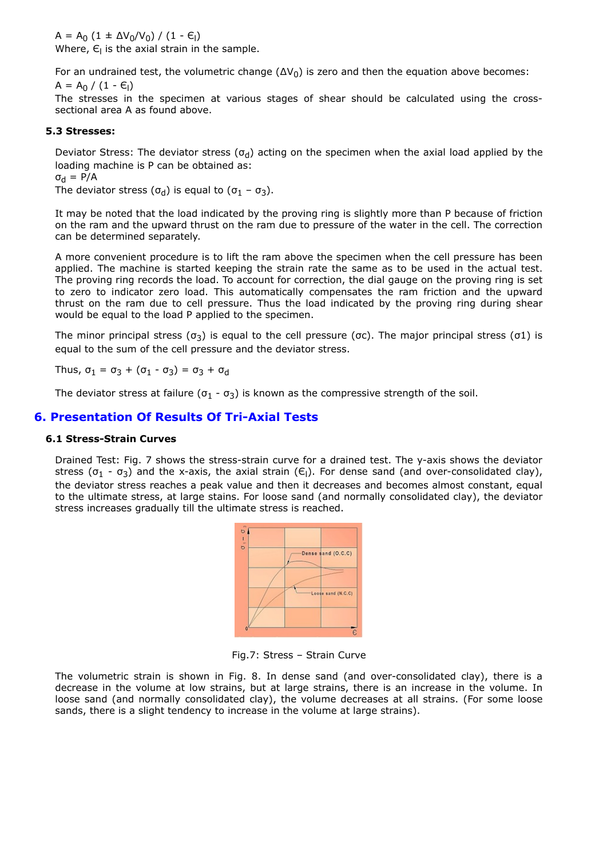$A = A_0 (1 \pm \Delta V_0/V_0) / (1 - \epsilon_1)$ Where,  $\epsilon$ <sub>l</sub> is the axial strain in the sample.

For an undrained test, the volumetric change  $(\Delta V_0)$  is zero and then the equation above becomes:  $A = A_0 / (1 - E_1)$ 

The stresses in the specimen at various stages of shear should be calculated using the crosssectional area A as found above.

#### **5.3 Stresses:**

Deviator Stress: The deviator stress ( $\sigma_d$ ) acting on the specimen when the axial load applied by the loading machine is P can be obtained as:

 $\sigma_d = P/A$ 

The deviator stress ( $\sigma_d$ ) is equal to ( $\sigma_1$  -  $\sigma_3$ ).

It may be noted that the load indicated by the proving ring is slightly more than P because of friction on the ram and the upward thrust on the ram due to pressure of the water in the cell. The correction can be determined separately.

A more convenient procedure is to lift the ram above the specimen when the cell pressure has been applied. The machine is started keeping the strain rate the same as to be used in the actual test. The proving ring records the load. To account for correction, the dial gauge on the proving ring is set to zero to indicator zero load. This automatically compensates the ram friction and the upward thrust on the ram due to cell pressure. Thus the load indicated by the proving ring during shear would be equal to the load P applied to the specimen.

The minor principal stress (σ<sub>3</sub>) is equal to the cell pressure (σc). The major principal stress (σ1) is equal to the sum of the cell pressure and the deviator stress.

Thus,  $\sigma_1 = \sigma_3 + (\sigma_1 - \sigma_3) = \sigma_3 + \sigma_d$ 

The deviator stress at failure ( $\sigma_1$  -  $\sigma_3$ ) is known as the compressive strength of the soil.

#### **6. Presentation Of Results Of Tri-Axial Tests**

#### **6.1 Stress-Strain Curves**

Drained Test: Fig. 7 shows the stress-strain curve for a drained test. The y-axis shows the deviator stress ( $\sigma_1$  -  $\sigma_3$ ) and the x-axis, the axial strain ( $\epsilon_1$ ). For dense sand (and over-consolidated clay), the deviator stress reaches a peak value and then it decreases and becomes almost constant, equal to the ultimate stress, at large stains. For loose sand (and normally consolidated clay), the deviator stress increases gradually till the ultimate stress is reached.



Fig.7: Stress – Strain Curve

The volumetric strain is shown in Fig. 8. In dense sand (and over-consolidated clay), there is a decrease in the volume at low strains, but at large strains, there is an increase in the volume. In loose sand (and normally consolidated clay), the volume decreases at all strains. (For some loose sands, there is a slight tendency to increase in the volume at large strains).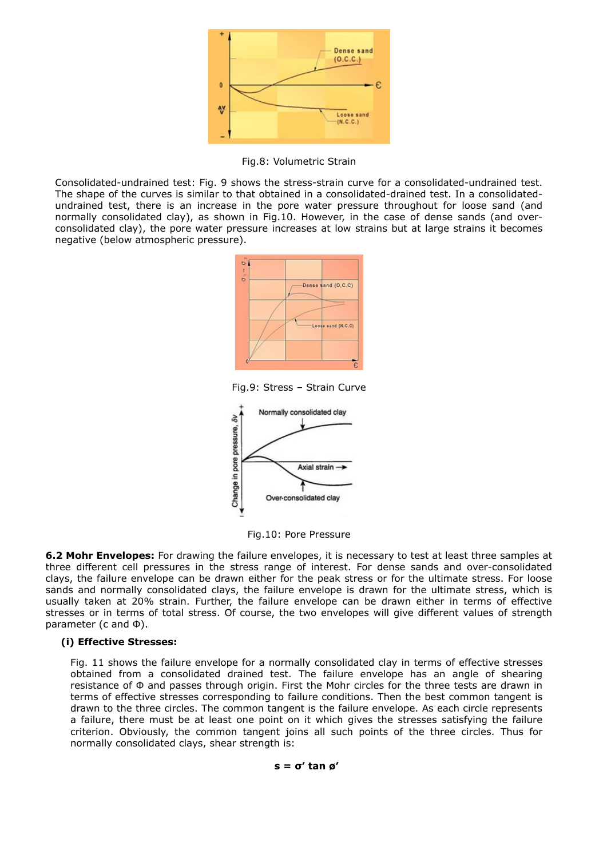

Fig.8: Volumetric Strain

Consolidated-undrained test: Fig. 9 shows the stress-strain curve for a consolidated-undrained test. The shape of the curves is similar to that obtained in a consolidated-drained test. In a consolidatedundrained test, there is an increase in the pore water pressure throughout for loose sand (and normally consolidated clay), as shown in Fig.10. However, in the case of dense sands (and overconsolidated clay), the pore water pressure increases at low strains but at large strains it becomes negative (below atmospheric pressure).



Fig.9: Stress – Strain Curve



Fig.10: Pore Pressure

**6.2 Mohr Envelopes:** For drawing the failure envelopes, it is necessary to test at least three samples at three different cell pressures in the stress range of interest. For dense sands and over-consolidated clays, the failure envelope can be drawn either for the peak stress or for the ultimate stress. For loose sands and normally consolidated clays, the failure envelope is drawn for the ultimate stress, which is usually taken at 20% strain. Further, the failure envelope can be drawn either in terms of effective stresses or in terms of total stress. Of course, the two envelopes will give different values of strength parameter (c and Փ).

#### **(i) Effective Stresses:**

Fig. 11 shows the failure envelope for a normally consolidated clay in terms of effective stresses obtained from a consolidated drained test. The failure envelope has an angle of shearing resistance of Փ and passes through origin. First the Mohr circles for the three tests are drawn in terms of effective stresses corresponding to failure conditions. Then the best common tangent is drawn to the three circles. The common tangent is the failure envelope. As each circle represents a failure, there must be at least one point on it which gives the stresses satisfying the failure criterion. Obviously, the common tangent joins all such points of the three circles. Thus for normally consolidated clays, shear strength is:

#### **s = σ' tan ø'**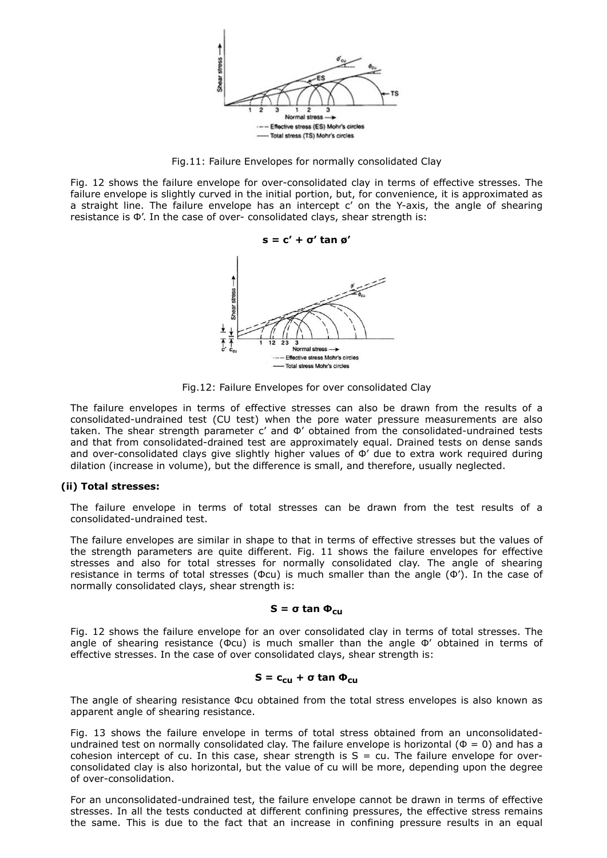

Fig.11: Failure Envelopes for normally consolidated Clay

Fig. 12 shows the failure envelope for over-consolidated clay in terms of effective stresses. The failure envelope is slightly curved in the initial portion, but, for convenience, it is approximated as a straight line. The failure envelope has an intercept c' on the Y-axis, the angle of shearing resistance is Փ'. In the case of over- consolidated clays, shear strength is:



Fig.12: Failure Envelopes for over consolidated Clay

The failure envelopes in terms of effective stresses can also be drawn from the results of a consolidated-undrained test (CU test) when the pore water pressure measurements are also taken. The shear strength parameter c' and Փ' obtained from the consolidated-undrained tests and that from consolidated-drained test are approximately equal. Drained tests on dense sands and over-consolidated clays give slightly higher values of  $\Phi'$  due to extra work required during dilation (increase in volume), but the difference is small, and therefore, usually neglected.

#### **(ii) Total stresses:**

The failure envelope in terms of total stresses can be drawn from the test results of a consolidated-undrained test.

The failure envelopes are similar in shape to that in terms of effective stresses but the values of the strength parameters are quite different. Fig. 11 shows the failure envelopes for effective stresses and also for total stresses for normally consolidated clay. The angle of shearing resistance in terms of total stresses ( $\Phi$ cu) is much smaller than the angle ( $\Phi'$ ). In the case of normally consolidated clays, shear strength is:

#### **S = σ tan Փcu**

Fig. 12 shows the failure envelope for an over consolidated clay in terms of total stresses. The angle of shearing resistance ( $\Phi$ cu) is much smaller than the angle  $\Phi'$  obtained in terms of effective stresses. In the case of over consolidated clays, shear strength is:

#### $S = c_{cu} + σ \tan \Phi_{cu}$

The angle of shearing resistance Փcu obtained from the total stress envelopes is also known as apparent angle of shearing resistance.

Fig. 13 shows the failure envelope in terms of total stress obtained from an unconsolidatedundrained test on normally consolidated clay. The failure envelope is horizontal ( $\Phi = 0$ ) and has a cohesion intercept of cu. In this case, shear strength is  $S = cu$ . The failure envelope for overconsolidated clay is also horizontal, but the value of cu will be more, depending upon the degree of over-consolidation.

For an unconsolidated-undrained test, the failure envelope cannot be drawn in terms of effective stresses. In all the tests conducted at different confining pressures, the effective stress remains the same. This is due to the fact that an increase in confining pressure results in an equal